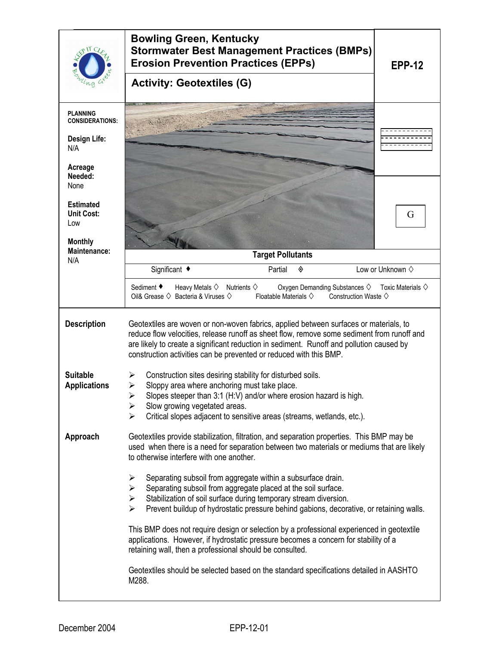|                                                                | <b>Bowling Green, Kentucky</b><br><b>Stormwater Best Management Practices (BMPs)</b><br><b>Erosion Prevention Practices (EPPs)</b>                                                                                                                                                                                                                    | <b>EPP-12</b>                  |
|----------------------------------------------------------------|-------------------------------------------------------------------------------------------------------------------------------------------------------------------------------------------------------------------------------------------------------------------------------------------------------------------------------------------------------|--------------------------------|
|                                                                | <b>Activity: Geotextiles (G)</b>                                                                                                                                                                                                                                                                                                                      |                                |
| PLANNING<br><b>CONSIDERATIONS:</b>                             |                                                                                                                                                                                                                                                                                                                                                       |                                |
| Design Life:<br>N/A                                            |                                                                                                                                                                                                                                                                                                                                                       |                                |
| Acreage<br>Needed:<br>None                                     |                                                                                                                                                                                                                                                                                                                                                       |                                |
| <b>Estimated</b><br><b>Unit Cost:</b><br>Low<br><b>Monthly</b> |                                                                                                                                                                                                                                                                                                                                                       | G                              |
| Maintenance:<br>N/A                                            | <b>Target Pollutants</b>                                                                                                                                                                                                                                                                                                                              |                                |
|                                                                | Significant ◆<br>Partial<br>◈                                                                                                                                                                                                                                                                                                                         | Low or Unknown $\diamond$      |
|                                                                | Sediment ◆<br>Heavy Metals $\diamond$ Nutrients $\diamond$<br>Oxygen Demanding Substances ♦<br>Oil& Grease $\diamondsuit$ Bacteria & Viruses $\diamondsuit$<br>Floatable Materials $\diamondsuit$<br>Construction Waste $\diamond$                                                                                                                    | Toxic Materials $\diamondsuit$ |
| <b>Description</b>                                             | Geotextiles are woven or non-woven fabrics, applied between surfaces or materials, to<br>reduce flow velocities, release runoff as sheet flow, remove some sediment from runoff and<br>are likely to create a significant reduction in sediment. Runoff and pollution caused by<br>construction activities can be prevented or reduced with this BMP. |                                |
| <b>Suitable</b><br><b>Applications</b>                         | Construction sites desiring stability for disturbed soils.<br>➤<br>Sloppy area where anchoring must take place.<br>➤<br>Slopes steeper than 3:1 (H:V) and/or where erosion hazard is high.<br>➤<br>Slow growing vegetated areas.<br>➤<br>Critical slopes adjacent to sensitive areas (streams, wetlands, etc.).<br>⋗                                  |                                |
| Approach                                                       | Geotextiles provide stabilization, filtration, and separation properties. This BMP may be<br>used when there is a need for separation between two materials or mediums that are likely<br>to otherwise interfere with one another.                                                                                                                    |                                |
|                                                                | Separating subsoil from aggregate within a subsurface drain.<br>➤<br>Separating subsoil from aggregate placed at the soil surface.<br>➤<br>Stabilization of soil surface during temporary stream diversion.<br>$\blacktriangleright$<br>Prevent buildup of hydrostatic pressure behind gabions, decorative, or retaining walls.<br>⋗                  |                                |
|                                                                | This BMP does not require design or selection by a professional experienced in geotextile<br>applications. However, if hydrostatic pressure becomes a concern for stability of a<br>retaining wall, then a professional should be consulted.                                                                                                          |                                |
|                                                                | Geotextiles should be selected based on the standard specifications detailed in AASHTO<br>M288.                                                                                                                                                                                                                                                       |                                |